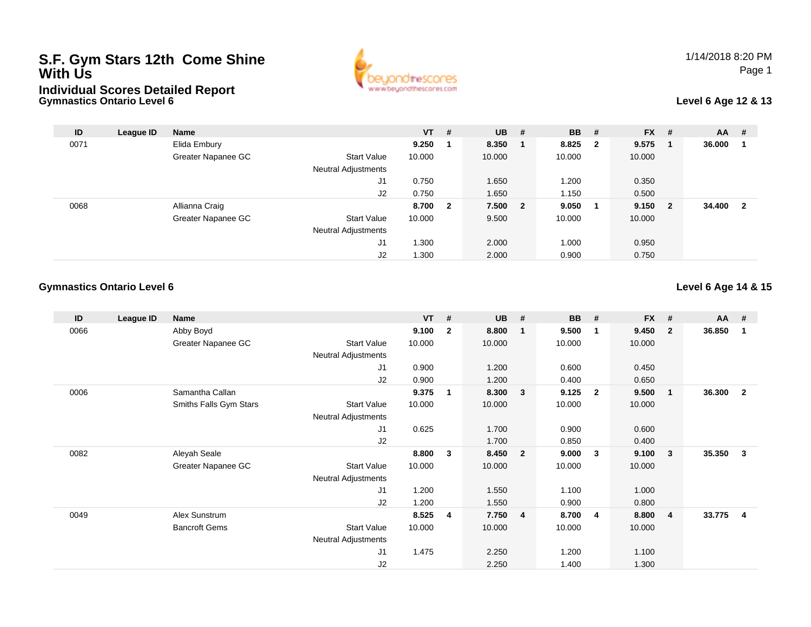# **S.F. Gym Stars 12th Come Shine With UsIndividual Scores Detailed Report**



### **Level 6 Age 12 & 13**

| ID   | League ID | <b>Name</b>        |                            | $VT$ # |                | $UB$ #  | <b>BB</b> | - #                     | <b>FX</b> | - #         | <b>AA</b> | #                       |
|------|-----------|--------------------|----------------------------|--------|----------------|---------|-----------|-------------------------|-----------|-------------|-----------|-------------------------|
| 0071 |           | Elida Embury       |                            | 9.250  |                | 8.350   | 8.825     | $\overline{\mathbf{2}}$ | 9.575     | $\mathbf 1$ | 36.000    |                         |
|      |           | Greater Napanee GC | <b>Start Value</b>         | 10.000 |                | 10.000  | 10.000    |                         | 10.000    |             |           |                         |
|      |           |                    | Neutral Adjustments        |        |                |         |           |                         |           |             |           |                         |
|      |           |                    | J1                         | 0.750  |                | 1.650   | 1.200     |                         | 0.350     |             |           |                         |
|      |           |                    | J2                         | 0.750  |                | 1.650   | 1.150     |                         | 0.500     |             |           |                         |
| 0068 |           | Allianna Craig     |                            | 8.700  | $\overline{2}$ | 7.500 2 | 9.050     | - 1                     | 9.150     | - 2         | 34,400    | $\overline{\mathbf{2}}$ |
|      |           | Greater Napanee GC | <b>Start Value</b>         | 10.000 |                | 9.500   | 10.000    |                         | 10.000    |             |           |                         |
|      |           |                    | <b>Neutral Adjustments</b> |        |                |         |           |                         |           |             |           |                         |
|      |           |                    | J1                         | 1.300  |                | 2.000   | 1.000     |                         | 0.950     |             |           |                         |
|      |           |                    | J <sub>2</sub>             | 1.300  |                | 2.000   | 0.900     |                         | 0.750     |             |           |                         |

### **Gymnastics Ontario Level 6**

**Gymnastics Ontario Level 6**

### **Level 6 Age 14 & 15**

| ID   | League ID | Name                   |                            | $VT$ # |                | <b>UB</b> | $\overline{t}$ | <b>BB</b> | #                       | <b>FX</b> | #                       | $AA$ # |                         |
|------|-----------|------------------------|----------------------------|--------|----------------|-----------|----------------|-----------|-------------------------|-----------|-------------------------|--------|-------------------------|
| 0066 |           | Abby Boyd              |                            | 9.100  | $\overline{2}$ | 8.800     | $\mathbf{1}$   | 9.500     | $\mathbf 1$             | 9.450     | $\overline{2}$          | 36.850 | $\mathbf{1}$            |
|      |           | Greater Napanee GC     | <b>Start Value</b>         | 10.000 |                | 10.000    |                | 10.000    |                         | 10.000    |                         |        |                         |
|      |           |                        | <b>Neutral Adjustments</b> |        |                |           |                |           |                         |           |                         |        |                         |
|      |           |                        | J1                         | 0.900  |                | 1.200     |                | 0.600     |                         | 0.450     |                         |        |                         |
|      |           |                        | J2                         | 0.900  |                | 1.200     |                | 0.400     |                         | 0.650     |                         |        |                         |
| 0006 |           | Samantha Callan        |                            | 9.375  | 1              | 8.300     | $\mathbf{3}$   | 9.125     | $\overline{\mathbf{2}}$ | 9.500     | $\overline{1}$          | 36.300 | $\overline{2}$          |
|      |           | Smiths Falls Gym Stars | <b>Start Value</b>         | 10.000 |                | 10.000    |                | 10.000    |                         | 10.000    |                         |        |                         |
|      |           |                        | Neutral Adjustments        |        |                |           |                |           |                         |           |                         |        |                         |
|      |           |                        | J1                         | 0.625  |                | 1.700     |                | 0.900     |                         | 0.600     |                         |        |                         |
|      |           |                        | J2                         |        |                | 1.700     |                | 0.850     |                         | 0.400     |                         |        |                         |
| 0082 |           | Aleyah Seale           |                            | 8.800  | 3              | 8.450     | $\overline{2}$ | 9.000     | $\mathbf{3}$            | 9.100     | $\mathbf{3}$            | 35.350 | 3                       |
|      |           | Greater Napanee GC     | <b>Start Value</b>         | 10.000 |                | 10.000    |                | 10.000    |                         | 10.000    |                         |        |                         |
|      |           |                        | <b>Neutral Adjustments</b> |        |                |           |                |           |                         |           |                         |        |                         |
|      |           |                        | J1                         | 1.200  |                | 1.550     |                | 1.100     |                         | 1.000     |                         |        |                         |
|      |           |                        | J2                         | 1.200  |                | 1.550     |                | 0.900     |                         | 0.800     |                         |        |                         |
| 0049 |           | Alex Sunstrum          |                            | 8.525  | 4              | 7.750     | $\overline{4}$ | 8.700     | $\overline{4}$          | 8.800     | $\overline{\mathbf{4}}$ | 33.775 | $\overline{\mathbf{4}}$ |
|      |           | <b>Bancroft Gems</b>   | <b>Start Value</b>         | 10.000 |                | 10.000    |                | 10.000    |                         | 10.000    |                         |        |                         |
|      |           |                        | Neutral Adjustments        |        |                |           |                |           |                         |           |                         |        |                         |
|      |           |                        | J1                         | 1.475  |                | 2.250     |                | 1.200     |                         | 1.100     |                         |        |                         |
|      |           |                        | J2                         |        |                | 2.250     |                | 1.400     |                         | 1.300     |                         |        |                         |